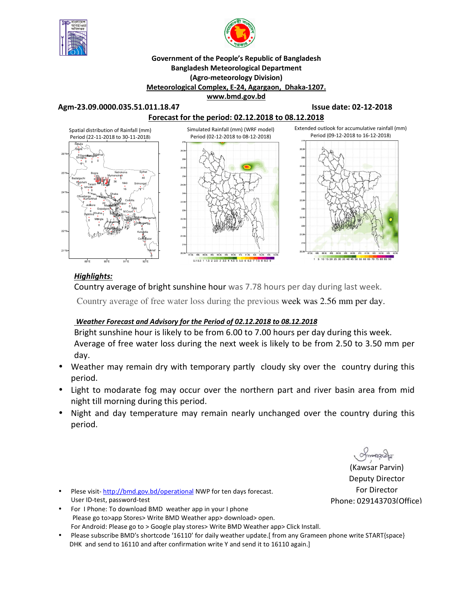



### **Government of the People's Republic of Bangladesh Bangladesh Meteorological Department (Agro-meteorology Division) Meteorological Complex, E-24, Agargaon, Dhaka-1207. www.bmd.gov.bd**

**Agm-23.09.0000.035.51.011.18.47 Issue date: 02-12-2018** 



# *Highlights:*

Country average of bright sunshine hour was 7.78 hours per day during last week.

Country average of free water loss during the previous week was 2.56 mm per day.

# *Weather Forecast and Advisory for the Period of 02.12.2018 to 08.12.2018*

Bright sunshine hour is likely to be from 6.00 to 7.00 hours per day during this week. Average of free water loss during the next week is likely to be from 2.50 to 3.50 mm per day.

- Weather may remain dry with temporary partly cloudy sky over the country during this period.
- Light to modarate fog may occur over the northern part and river basin area from mid night till morning during this period.
- Night and day temperature may remain nearly unchanged over the country during this period.

manarch

- Plese visit-http://bmd.gov.bd/operational NWP for ten days forecast. User ID-test, password-test
- For I Phone: To download BMD weather app in your I phone Please go to>app Stores> Write BMD Weather app> download> open. For Android: Please go to > Google play stores> Write BMD Weather app> Click Install.
- Please subscribe BMD's shortcode '16110' for daily weather update.[ from any Grameen phone write START{space} DHK and send to 16110 and after confirmation write Y and send it to 16110 again.]

(Kawsar Parvin) Deputy Director For Director Phone: 029143703(Office)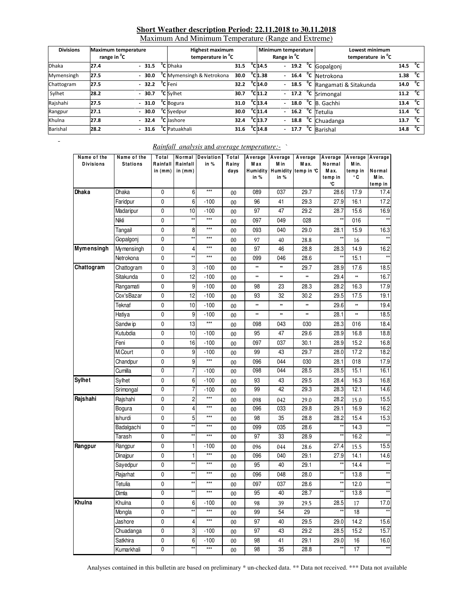# **Short Weather description Period: 22.11.2018 to 30.11.2018**

Maximum And Minimum Temperature (Range and Extreme)

| <b>Divisions</b> | <b>Maximum temperature</b><br>range in <sup>v</sup> C |                          |         | <b>Highest maximum</b><br>temperature in <sup>o</sup> C |      |                              | Minimum temperature<br>Range in <sup>v</sup> C |  | Lowest minimum<br>temperature in <sup>o</sup> C |      |              |
|------------------|-------------------------------------------------------|--------------------------|---------|---------------------------------------------------------|------|------------------------------|------------------------------------------------|--|-------------------------------------------------|------|--------------|
| <b>Dhaka</b>     | 27.4                                                  |                          | $-31.5$ | <sup>o</sup> C Dhaka                                    | 31.5 | $^{\circ}$ C <sub>14.5</sub> | $\mathcal{L}^{\pm}$                            |  | 19.2 °C Gopalgonj                               | 14.5 | °с           |
| Mymensingh       | 27.5                                                  | $\overline{\phantom{0}}$ | 30.0    | <sup>o</sup> C Mymensingh & Netrokona                   | 30.0 | $^{\circ}$ Cl1.38            |                                                |  | $-16.4 °C$ Netrokona                            | 1.38 | °c           |
| Chattogram       | 27.5                                                  |                          | 32.2    | <sup>o</sup> C Feni                                     | 32.2 | $^{\circ}$ C 14.0            |                                                |  | - 18.5 °C Rangamati & Sitakunda                 | 14.0 | $^{\circ}$ c |
| Sylhet           | 28.2                                                  |                          | $-30.7$ | <sup>o</sup> C Sylhet                                   | 30.7 | $^{\circ}$ Cl11.2            |                                                |  | $-17.2$ <sup>o</sup> C Srimongal                | 11.2 | $^{\circ}$ c |
| Rajshahi         | 27.5                                                  |                          | $-31.0$ | <sup>o</sup> C Bogura                                   | 31.0 | $^{\circ}$ C <sub>13.4</sub> | $\overline{\phantom{0}}$                       |  | $18.0$ °C B. Gachhi                             | 13.4 | $^0$ C       |
| Rangpur          | 27.1                                                  |                          | $-30.0$ | <sup>o</sup> C Syedpur                                  | 30.0 | $^{\circ}$ C <sub>11.4</sub> |                                                |  | $-$ 16.2 $^{\circ}$ C Tetulia                   | 11.4 | $^0$ C       |
| Khulna           | 27.8                                                  |                          | $-32.4$ | <sup>o</sup> C Jashore                                  | 32.4 | $^{\circ}$ C <sub>13.7</sub> |                                                |  | $-$ 18.8 $^{\circ}$ C Chuadanga                 | 13.7 | $^{\circ}$ c |
| Barishal         | 28.2                                                  |                          | $-31.6$ | <sup>o</sup> C Patuakhali                               | 31.6 | $^{\circ}$ C 14.8            |                                                |  | $17.7oC$ Barishal                               | 14.8 | $^{\circ}$ c |

# *Rainfall analysis* and *average temperature:-* `

| Name of the<br><b>Divisions</b> | Name of the<br><b>Stations</b> | Total<br>Rainfall<br>in (mm) | Normal<br>Rainfall<br>in $(mm)$ | Deviation<br>in % | Total<br>Rainy<br>days | Average<br>M ax<br><b>Humidity</b><br>in % | Average<br>M in<br>in % | Average<br>Max.<br>Humidity temp in °C | Average<br>Normal<br>Max.<br>temp in<br>°C | Average<br>M in.<br>temp in<br>۰c | Average<br>Normal<br>M in.<br>temp in |
|---------------------------------|--------------------------------|------------------------------|---------------------------------|-------------------|------------------------|--------------------------------------------|-------------------------|----------------------------------------|--------------------------------------------|-----------------------------------|---------------------------------------|
| Dhaka                           | <b>Dhaka</b>                   | 0                            | 6                               | $***$             | 00                     | 089                                        | 037                     | 29.7                                   | 28.6                                       | 17.9                              | 17.4                                  |
|                                 | Faridpur                       | 0                            | 6                               | $-100$            | 00                     | 96                                         | 41                      | 29.3                                   | 27.9                                       | 16.1                              | 17.2                                  |
|                                 | Madaripur                      | 0                            | 10                              | $-100$            | $00\,$                 | 97                                         | 47                      | 29.2                                   | 28.7                                       | 15.6                              | 16.9                                  |
|                                 | Nikli                          | 0                            | $\star\star$                    | $***$             | $00\,$                 | 097                                        | 049                     | 028                                    | $\star\star$                               | 016                               | $**$                                  |
|                                 | Tangail                        | 0                            | 8                               | ***               | $00\,$                 | 093                                        | 040                     | 29.0                                   | 28.1                                       | 15.9                              | 16.3                                  |
|                                 | Gopalgonj                      | $\pmb{0}$                    | $\star\star$                    | ***               | $00\,$                 | 97                                         | 40                      | 28.8                                   | $\star\star$                               | 16                                | $\star$                               |
| Mymensingh                      | My mensingh                    | 0                            | $\overline{4}$                  | ***               | $00\,$                 | 97                                         | 46                      | 28.8                                   | 28.3                                       | 14.9                              | 16.2                                  |
|                                 | Netrokona                      | $\mathbf 0$                  | $\star\star$                    | ***               | $00\,$                 | 099                                        | 046                     | 28.6                                   | $\star\star$                               | 15.1                              | $**$                                  |
| Chattogram                      | Chattogram                     | 0                            | 3                               | $-100$            | $00\,$                 | $\ast\ast$                                 | **                      | 29.7                                   | 28.9                                       | 17.6                              | 18.5                                  |
|                                 | Sitakunda                      | 0                            | 12                              | $-100$            | $00\,$                 | $\ast\ast$                                 | **                      | ×                                      | 29.4                                       | **                                | 16.7                                  |
|                                 | Rangamati                      | $\mathbf 0$                  | 9                               | $-100$            | $00\,$                 | 98                                         | 23                      | 28.3                                   | 28.2                                       | 16.3                              | 17.9                                  |
|                                 | Cox'sBazar                     | 0                            | 12                              | $-100$            | $00\,$                 | 93                                         | 32                      | 30.2                                   | 29.5                                       | 17.5                              | 19.1                                  |
|                                 | Teknaf                         | $\pmb{0}$                    | 10                              | $-100$            | 00                     | $\ast\ast$                                 | **                      | $\ast\ast$                             | 29.6                                       | **                                | 19.4                                  |
|                                 | Hatiya                         | 0                            | 9                               | $-100$            | $00\,$                 | $\ast\ast$                                 | **                      | ×                                      | 28.1                                       | ×                                 | 18.5                                  |
|                                 | Sandw ip                       | 0                            | 13                              | $***$             | $00\,$                 | 098                                        | 043                     | 030                                    | 28.3                                       | 016                               | 18.4                                  |
|                                 | Kutubdia                       | 0                            | 10                              | $-100$            | $00\,$                 | 95                                         | 47                      | 29.6                                   | 28.9                                       | 16.8                              | 18.8                                  |
|                                 | Feni                           | 0                            | 16                              | $-100$            | $00\,$                 | 097                                        | 037                     | 30.1                                   | 28.9                                       | 15.2                              | 16.8                                  |
|                                 | M.Court                        | $\pmb{0}$                    | 9                               | $-100$            | 00                     | 99                                         | 43                      | 29.7                                   | 28.0                                       | 17.2                              | 18.2                                  |
|                                 | Chandpur                       | 0                            | 9                               | $\star\star\star$ | $00\,$                 | 096                                        | 044                     | 030                                    | 28.1                                       | 018                               | 17.9                                  |
|                                 | Cumilla                        | 0                            | $\overline{7}$                  | $-100$            | $00\,$                 | 098                                        | 044                     | 28.5                                   | 28.5                                       | 15.1                              | 16.1                                  |
| <b>Sylhet</b>                   | Sylhet                         | 0                            | 6                               | $-100$            | $00\,$                 | 93                                         | 43                      | 29.5                                   | 28.4                                       | 16.3                              | 16.8                                  |
|                                 | Srimongal                      | 0                            | 7                               | $-100$            | 00                     | 99                                         | 42                      | 29.3                                   | 28.3                                       | 12.1                              | 14.6                                  |
| Rajshahi                        | Rajshahi                       | 0                            | 2                               | $***$             | $00\,$                 | 098                                        | 042                     | 29.0                                   | 28.2                                       | 15.0                              | 15.5                                  |
|                                 | Bogura                         | 0                            | 4                               | $***$             | $00\,$                 | 096                                        | 033                     | 29.8                                   | 29.1                                       | 16.9                              | 16.2                                  |
|                                 | Ishurdi                        | 0                            | 5                               | ***               | $00\,$                 | 98                                         | 35                      | 28.8                                   | 28.2                                       | 15.4                              | 15.3                                  |
|                                 | Badalgachi                     | $\pmb{0}$                    | $\star\star$                    | ***               | $00\,$                 | 099                                        | 035                     | 28.6                                   | $\star\star$                               | 14.3                              | $\star\star$                          |
|                                 | Tarash                         | 0                            | $\star\star$                    | ***               | $00\,$                 | 97                                         | 33                      | 28.9                                   | $^{\star\star}$                            | 16.2                              |                                       |
| Rangpur                         | Rangpur                        | 0                            | 1                               | $-100$            | $00\,$                 | 096                                        | 044                     | 28.6                                   | 27.4                                       | 15.5                              | 15.5                                  |
|                                 | Dinajpur                       | 0                            | 1                               | $***$             | $00\,$                 | 096                                        | 040                     | 29.1                                   | 27.9                                       | 14.1                              | 14.6                                  |
|                                 | Sayedpur                       | 0                            | $\star\star$                    | $***$             | $00\,$                 | 95                                         | 40                      | 29.1                                   | $\star\star$                               | 14.4                              |                                       |
|                                 | Rajarhat                       | 0                            | $\star\star$                    | ***               | 00                     | 096                                        | 048                     | 28.0                                   | $\star\star$                               | 13.8                              | $^{\star\star}$                       |
|                                 | Tetulia                        | 0                            | $\star\star$                    | $***$             | $00\,$                 | 097                                        | 037                     | 28.6                                   | $\star\star$                               | 12.0                              | $^{\star\star}$                       |
|                                 | Dimla                          | 0                            | $***$                           | $***$             | 00                     | 95                                         | 40                      | 28.7                                   | $^{\star\star}$                            | 13.8                              |                                       |
| Khulna                          | Khulna                         | $\pmb{0}$                    | 6                               | $-100$            | $00\,$                 | 98                                         | 39                      | 29.5                                   | 28.5                                       | 17                                | 17.0                                  |
|                                 | Mongla                         | $\pmb{0}$                    | $\star\star$                    | $\star\star\star$ | $00\,$                 | 99                                         | 54                      | 29                                     | $\star\star$                               | 18                                | $\star\star$                          |
|                                 | Jashore                        | $\pmb{0}$                    | 4                               | $***$             | 00                     | 97                                         | 40                      | 29.5                                   | 29.0                                       | 14.2                              | 15.6                                  |
|                                 | Chuadanga                      | 0                            | 3                               | $-100$            | 00                     | 97                                         | 43                      | 29.2                                   | 28.5                                       | 15.2                              | 15.7                                  |
|                                 | Satkhira                       | $\pmb{0}$                    | 6                               | $-100$            | $00\,$                 | 98                                         | 41                      | 29.1                                   | 29.0                                       | 16                                | 16.0                                  |
|                                 | Kumarkhali                     | $\pmb{0}$                    | $**$                            | $\star\star\star$ | $00\,$                 | 98                                         | 35                      | 28.8                                   | $**$                                       | 17                                | $\star\star$                          |

Analyses contained in this bulletin are based on preliminary \* un-checked data. \*\* Data not received. \*\*\* Data not available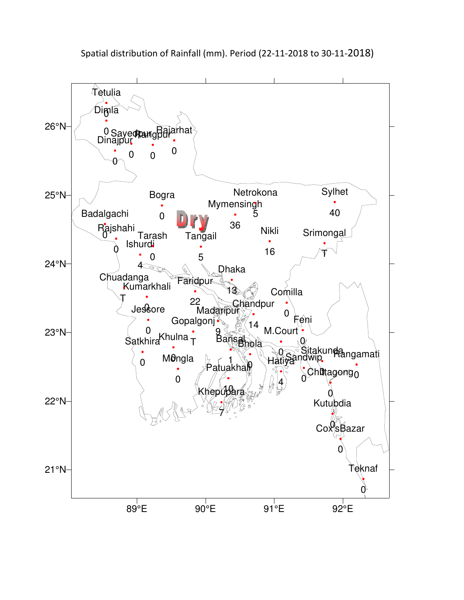

Spatial distribution of Rainfall (mm). Period (22-11-2018 to 30-11-2018)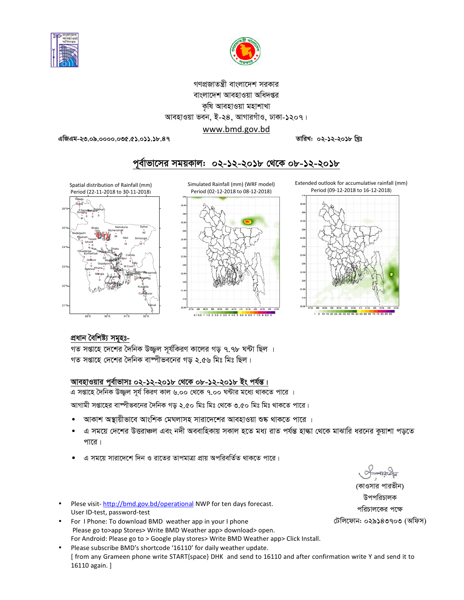



গণপ্রজাতন্ত্রী বাংলাদেশ সরকার বাংলাদেশ আবহাওয়া অধিদপ্তর কৃষি আবহাওয়া মহাশাখা আবহাওয়া ভবন, ই-২৪, আগারগাঁও, ঢাকা-১২০৭। www.bmd.gov.bd

এজিএম-২৩.০৯.০০০০.০৩৫.৫১.০১১.১৮.৪৭

তারিখ: ০২-১২-২০১৮ খ্রিঃ

# পূর্বাভাসের সময়কাল: ০২-১২-২০১৮ থেকে ০৮-১২-২০১৮









### প্ৰধান বৈশিষ্ট্য সমূহঃ-

গত সপ্তাহে দেশের দৈনিক উজ্জল সূর্যকিরণ কালের গড় ৭.৭৮ ঘন্টা ছিল । গত সপ্তাহে দেশের দৈনিক বাষ্পীভবনের গড় ২.৫৬ মিঃ মিঃ ছিল।

### আবহাওয়ার পূর্বাভাসঃ ০২-১২-২০১৮ থেকে ০৮-১২-২০১৮ ইং পর্যন্ত।

এ সপ্তাহে দৈনিক উজ্জল সূর্য কিরণ কাল ৬.০০ থেকে ৭.০০ ঘন্টার মধ্যে থাকতে পারে । আগামী সপ্তাহের বাম্পীভবনের দৈনিক গড় ২.৫০ মিঃ মিঃ থেকে ৩.৫০ মিঃ মিঃ থাকতে পারে।

- আকাশ অস্থায়ীভাবে আংশিক মেঘলাসহ সারাদেশের আবহাওয়া শুষ্ক থাকতে পারে ।
- এ সময়ে দেশের উত্তরাঞ্চল এবং নদী অববাহিকায় সকাল হতে মধ্য রাত পর্যন্ত হাল্কা থেকে মাঝারি ধরনের কুয়াশা পড়তে পারে।
- এ সময়ে সারাদেশে দিন ও রাতের তাপমাত্রা প্রায় অপরিবর্তিত থাকতে পারে।
- Plese visit-http://bmd.gov.bd/operational NWP for ten days forecast. User ID-test, password-test
- For I Phone: To download BMD weather app in your I phone Please go to>app Stores> Write BMD Weather app> download> open. For Android: Please go to > Google play stores> Write BMD Weather app> Click Install.
- Please subscribe BMD's shortcode '16110' for daily weather update. [ from any Grameen phone write START{space} DHK and send to 16110 and after confirmation write Y and send it to 16110 again.]

(কাওসার পারভীন)

উপপরিচালক পরিচালকের পক্ষে টেলিফোন: ০২৯১৪৩৭০৩ (অফিস)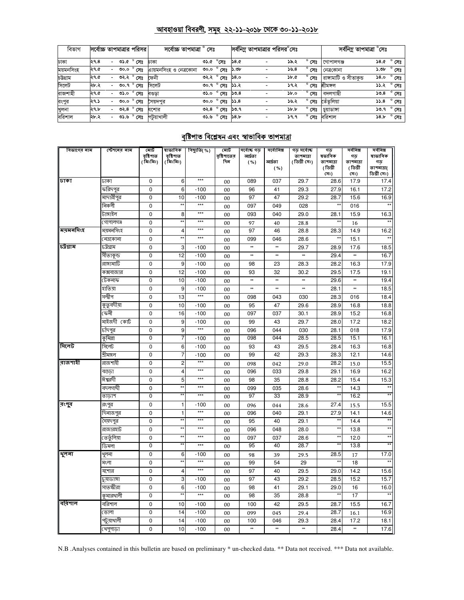# <u> আবহাওয়া বিবরণী, সমূহ ২২-১১-২০১৮ থেকে ৩০-১১-২০১৮</u>

| বিভাগ     | সর্বোচ্চ তাপমাত্রার পরিসর |                          |      |                       | সৰ্বোচ্চ তাপমাত্ৰা ° সেঃ |      |                                           |             |                          | সর্বনিম্ন তাপমাত্রার পরিসর°সেঃ |                | সর্বনিম তাপমাত্রা $^\circ$ সেঃ |      |                  |
|-----------|---------------------------|--------------------------|------|-----------------------|--------------------------|------|-------------------------------------------|-------------|--------------------------|--------------------------------|----------------|--------------------------------|------|------------------|
| ঢাকা      | ২৭.৪                      |                          |      | - ৩১.৫ ° সেঃ          | ঢাকা                     |      | ৩১.৫ °সেঃ                                 | <b>D.84</b> |                          | ১৯.২                           | $^{\circ}$ সেঃ | গোপালগঞ্জ                      |      | ১৪.৫ ° সেঃ       |
| ময়মনসিংহ | ২৭.৫                      |                          | ৩০.০ | $^{\circ}$ সেঃ        | এায়মনসিংহ ও নেত্রকোনা   | 0.00 | $^{\circ}$ সেঃ                            | ১.৩৮        |                          | 39.8                           | $^{\circ}$ সেঃ | নেত্ৰকোনা                      | ১.৩৮ | $^{\circ}$ সেঃ   |
| চউগ্ৰাম   | ২৭.৫                      | $\overline{\phantom{a}}$ |      | ৩২.২ ° সেঃ            | ফেনী                     |      | $0.82$ $^{\circ}$ সেঃ ১৪.০                |             |                          | ነው. ዕ                          | $^{\circ}$ সেঃ | রাঙ্গামাটি ও সীতাকভ            | 0.8  | $^{\circ}$ সেঃ   |
| সিলেট     | ২৮.২                      |                          |      | ৩০.৭ ° সেঃ            | সিলেট                    |      | ৩০.৭ $^{\circ}$ সেঃ ১১.২                  |             |                          | ১৭২                            | $^{\circ}$ সেঃ | শ্ৰীমঙ্গল                      |      | ১১.২ ° সেঃ       |
| রাজশাহী   | ২৭.৫                      |                          |      | - ৩১.০ ° সেঃ          | বণ্ডডা                   |      | ত১.০ $^{\circ}$ সেঃ ১৩.৪                  |             |                          | 5b.0                           | $^{\circ}$ সেঃ | বদলগাছী                        |      | $50.8^\circ$ সেঃ |
| রংপুর     | ২৭.১                      | $\overline{\phantom{a}}$ |      | ত $\circ$ $\circ$ সেঃ | সৈয়দপুর                 |      | <u>৩০.০ <math>^{\circ}</math>সেঃ</u> ১১.৪ |             |                          | ১৬.২                           | $^{\circ}$ সেঃ | তেঁতুলিয়া                     | 35.8 | $^{\circ}$ সেঃ   |
| খুলনা     | ২৭.৮                      | $\overline{\phantom{a}}$ |      | ৩২.৪ ° সেঃ            | যশোর                     |      | ৩২.৪ ° সেঃ                                | ১৩.৭        |                          | $\delta b$ , $b$               | $^{\circ}$ সেঃ | চুয়াডাঙ্গা                    |      | ১৩.৭ ° সেঃ       |
| বরিশাল    | ২৮.২                      | $\overline{\phantom{a}}$ |      | ৩১.৬ ° সেঃ            | পটয়াখালী                |      | ত১.৬ $^{\circ}$ সেঃ ১৪.৮                  |             | $\overline{\phantom{a}}$ | 39.9                           | $^{\circ}$ সেঃ | বরিশাল                         |      | ১৪.৮ ° সেঃ       |

# <u>বৃষ্টিপাত বিশ্লেষন এবং স্বাভাবিক তাপমাত্রা</u>

| বিভাগের নাম | স্টেশনের নাম | মোট                    | ষাভাবিক                | বিছ্যুতি(%) | মোট                | সৰ্বোচ্চ গড়     | সর্বোনিম্ন | গড় সৰ্বোচ্চ               | গড                       | সৰ্বনিম্ন       | সৰ্বনিম্ন     |
|-------------|--------------|------------------------|------------------------|-------------|--------------------|------------------|------------|----------------------------|--------------------------|-----------------|---------------|
|             |              | বৃষ্টিপাত<br>( মিঃমিঃ) | বৃষ্টিপাত<br>( মিঃমিঃ) |             | বৃষ্টিপাতের<br>দিন | আৰ্দ্ৰতা<br>( %) | আৰ্ঘতা     | তাপমাত্রা<br>( ডিগ্ৰী সেঃ) | ষভাবিক<br>তাপমাত্রা      | গড<br>তাপমাত্রা | ষাভাবিক<br>গড |
|             |              |                        |                        |             |                    |                  | ( %)       |                            | (ডিগ্ৰী                  | (ডিগ্ৰী         | তাপমাত্রা(    |
|             |              |                        |                        |             |                    |                  |            |                            | (সঃ)                     | (সঃ)            | ডিগ্ৰী সেঃ)   |
| ঢাকা        | ঢাকা         | $\mathbf 0$            | 6                      | $***$       | 00                 | 089              | 037        | 29.7                       | 28.6                     | 17.9            | 17.4          |
|             | করিদপুর      | $\mathbf 0$            | 6                      | $-100$      | 00                 | 96               | 41         | 29.3                       | 27.9                     | 16.1            | 17.2          |
|             | মাদারীপুর    | $\mathbf 0$            | 10                     | $-100$      | 00                 | 97               | 47         | 29.2                       | 28.7                     | 15.6            | 16.9          |
|             | নিকলী        | $\mathbf 0$            | $\star$                | $***$       | 00                 | 097              | 049        | 028                        | $\star\star$             | 016             | $\star\star$  |
|             | টাঙ্গাইল     | 0                      | 8                      | $***$       | 00                 | 093              | 040        | 29.0                       | 28.1                     | 15.9            | 16.3          |
|             | গোপালগঞ্জ    | $\mathbf 0$            | $\star$                | $***$       | 00                 | 97               | 40         | 28.8                       | $\star\star$             | 16              |               |
| ময়মনসিংহ   | ময়মনসিংহ    | 0                      | 4                      | $***$       | 00                 | 97               | 46         | 28.8                       | 28.3                     | 14.9            | 16.2          |
|             | নেত্ৰকোনা    | $\mathbf 0$            | $\star$                | $***$       | 00                 | 099              | 046        | 28.6                       | $\overline{}$            | 15.1            |               |
| চট্ৰগ্ৰাম   | ঢট্ৰগ্ৰাম    | $\mathbf 0$            | 3                      | $-100$      | 00                 | **               | **         | 29.7                       | 28.9                     | 17.6            | 18.5          |
|             | সীতাকুন্ড    | 0                      | 12                     | $-100$      | 00                 | $\ast\ast$       | **         | **                         | 29.4                     | $\ast\ast$      | 16.7          |
|             | রাঙ্গামাটি   | $\mathbf 0$            | 9                      | $-100$      | 00                 | 98               | 23         | 28.3                       | 28.2                     | 16.3            | 17.9          |
|             | কক্সবাজার    | 0                      | 12                     | $-100$      | 00                 | 93               | 32         | 30.2                       | 29.5                     | 17.5            | 19.1          |
|             | টেকনাফ       | $\mathbf 0$            | 10                     | $-100$      | 00                 | **               | **         | **                         | 29.6                     | **              | 19.4          |
|             | হাতিয়া      | $\mathbf 0$            | 9                      | $-100$      | 00                 | **               | **         | **                         | 28.1                     | **              | 18.5          |
|             | সন্দ্বীপ     | $\mathbf 0$            | 13                     | $***$       | 00                 | 098              | 043        | 030                        | 28.3                     | 016             | 18.4          |
|             | কুতুবদীয়া   | $\mathbf 0$            | 10                     | $-100$      | 00                 | 95               | 47         | 29.6                       | 28.9                     | 16.8            | 18.8          |
|             | ফেনী         | $\pmb{0}$              | 16                     | $-100$      | 00                 | 097              | 037        | 30.1                       | 28.9                     | 15.2            | 16.8          |
|             | মাইজদী কোর্ট | $\mathbf 0$            | 9                      | $-100$      | 00                 | 99               | 43         | 29.7                       | 28.0                     | 17.2            | 18.2          |
|             | চাঁদপুর      | 0                      | 9                      | $***$       | 00                 | 096              | 044        | 030                        | 28.1                     | 018             | 17.9          |
|             | কুমিল্লা     | $\overline{0}$         | 7                      | $-100$      | 00                 | 098              | 044        | 28.5                       | 28.5                     | 15.1            | 16.1          |
| সিলেট       | সিলেট        | $\mathbf 0$            | 6                      | $-100$      | 00                 | 93               | 43         | 29.5                       | 28.4                     | 16.3            | 16.8          |
|             | শ্ৰীমঙ্গল    | $\overline{0}$         | 7                      | $-100$      | 00                 | 99               | 42         | 29.3                       | 28.3                     | 12.1            | 14.6          |
| রাজশাহী     | রাজশাহী      | $\mathbf 0$            | $\overline{c}$         | $***$       | 00                 | 098              | 042        | 29.0                       | 28.2                     | 15.0            | 15.5          |
|             | বগুডা        | $\mathbf 0$            | $\overline{4}$         | $***$       | 00                 | 096              | 033        | 29.8                       | 29.1                     | 16.9            | 16.2          |
|             | ঈশ্বরদী      | $\mathbf 0$            | 5                      | $***$       | 00                 | 98               | 35         | 28.8                       | 28.2                     | 15.4            | 15.3          |
|             | বদলগাছী      | $\mathbf 0$            | *:                     | ***         | 00                 | 099              | 035        | 28.6                       | $\star\star$             | 14.3            |               |
|             | তাডাশ        | $\overline{0}$         |                        | $***$       | 00                 | 97               | 33         | 28.9                       | ¥                        | 16.2            |               |
| রংপুর       | রংপুর        | $\mathbf 0$            | 1                      | $-100$      | 00                 | 096              | 044        | 28.6                       | 27.4                     | 15.5            | 15.5          |
|             | দিনাজপুর     | $\mathbf 0$            | 1                      | $***$       | 00                 | 096              | 040        | 29.1                       | 27.9                     | 14.1            | 14.6          |
|             | সৈয়দপুর     | 0                      | $\star$                | $***$       | 00                 | 95               | 40         | 29.1                       | $\star\star$             | 14.4            | $\star\star$  |
|             | রাজারহাট     | $\mathbf 0$            | $\star$                | $***$       | 00                 | 096              | 048        | 28.0                       | $\star\star$             | 13.8            | $\star\star$  |
|             | তেতুঁলিয়া   | 0                      | $\star\star$           | $***$       | 00                 | 097              | 037        | 28.6                       | $\star\star$             | 12.0            | $\star\star$  |
|             | ডিমলা        | $\overline{0}$         |                        | $***$       | 00                 | 95               | 40         | 28.7                       |                          | 13.8            |               |
| থুলনা       | থুলনা        | $\mathbf 0$            | 6                      | $-100$      | 00                 | 98               | 39         | 29.5                       | 28.5                     | 17              | 17.0          |
|             | মংলা         | 0                      | $\star$                | $***$       | 00                 | 99               | 54         | 29                         | $\star\star$             | 18              |               |
|             | যশোর         | $\mathbf 0$            | $\overline{4}$         | $***$       | 00                 | 97               | 40         | 29.5                       | 29.0                     | 14.2            | 15.6          |
|             | চুয়াডাঙ্গা  | 0                      | 3                      | $-100$      | 00                 | 97               | 43         | 29.2                       | 28.5                     | 15.2            | 15.7          |
|             | সাতক্ষীরা    | $\mathbf 0$            | 6                      | $-100$      | 00                 | 98               | 41         | 29.1                       | 29.0                     | 16              | 16.0          |
|             | কৃমারখালী    | $\mathbf 0$            | $\overline{\ast}$      | $***$       | 00                 | 98               | 35         | 28.8                       | $\overline{\phantom{a}}$ | 17              |               |
| বরিশাল      | বরিশাল       | $\mathbf 0$            | 10                     | $-100$      | 00                 | 100              | 42         | 29.5                       | 28.7                     | 15.5            | 16.7          |
|             | ভোলা         | $\mathbf 0$            | 14                     | $-100$      | 00                 | 099              | 045        | 29.4                       | 28.7                     | 16.1            | 16.9          |
|             | পটুয়াথালী   | $\mathbf 0$            | 14                     | $-100$      | 00                 | 100              | 046        | 29.3                       | 28.4                     | 17.2            | 18.1          |
|             | খেপুপাড়া    | 0                      | 10                     | $-100$      | 00                 | **               | **         | **                         | 28.4                     | **              | 17.6          |

N.B .Analyses contained in this bulletin are based on preliminary \* un-checked data. \*\* Data not received. \*\*\* Data not available.